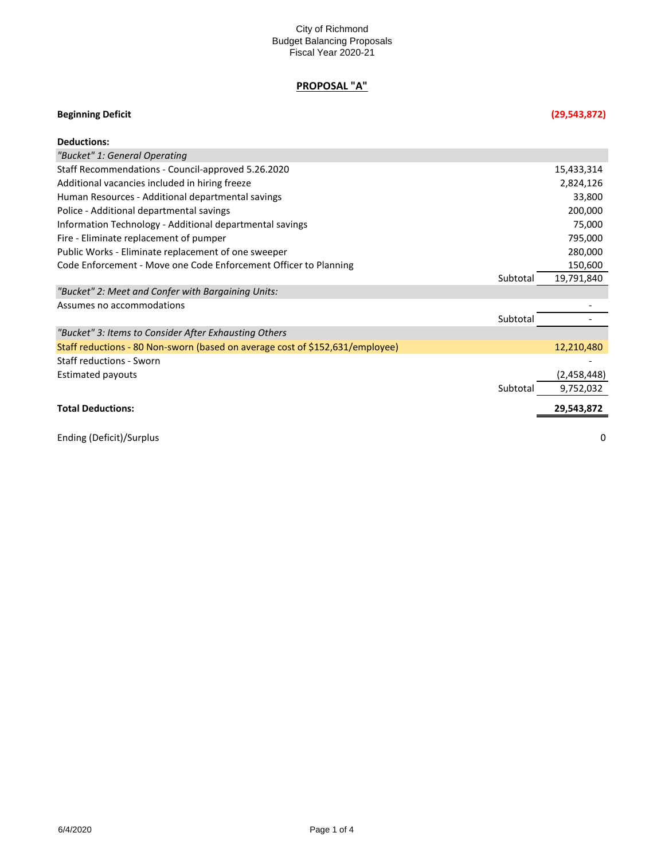# **PROPOSAL "A"**

## **Beginning Deficit (29,543,872)**

| <b>Deductions:</b>                                                            |          |             |
|-------------------------------------------------------------------------------|----------|-------------|
| "Bucket" 1: General Operating                                                 |          |             |
| Staff Recommendations - Council-approved 5.26.2020                            |          | 15,433,314  |
| Additional vacancies included in hiring freeze                                |          | 2,824,126   |
| Human Resources - Additional departmental savings                             |          | 33,800      |
| Police - Additional departmental savings                                      |          | 200,000     |
| Information Technology - Additional departmental savings                      |          | 75,000      |
| Fire - Eliminate replacement of pumper                                        |          | 795,000     |
| Public Works - Eliminate replacement of one sweeper                           |          | 280,000     |
| Code Enforcement - Move one Code Enforcement Officer to Planning              |          | 150,600     |
|                                                                               | Subtotal | 19,791,840  |
| "Bucket" 2: Meet and Confer with Bargaining Units:                            |          |             |
| Assumes no accommodations                                                     |          |             |
|                                                                               | Subtotal |             |
| "Bucket" 3: Items to Consider After Exhausting Others                         |          |             |
| Staff reductions - 80 Non-sworn (based on average cost of \$152,631/employee) |          | 12,210,480  |
| <b>Staff reductions - Sworn</b>                                               |          |             |
| <b>Estimated payouts</b>                                                      |          | (2,458,448) |
|                                                                               | Subtotal | 9,752,032   |
| <b>Total Deductions:</b>                                                      |          | 29,543,872  |
| Ending (Deficit)/Surplus                                                      |          | 0           |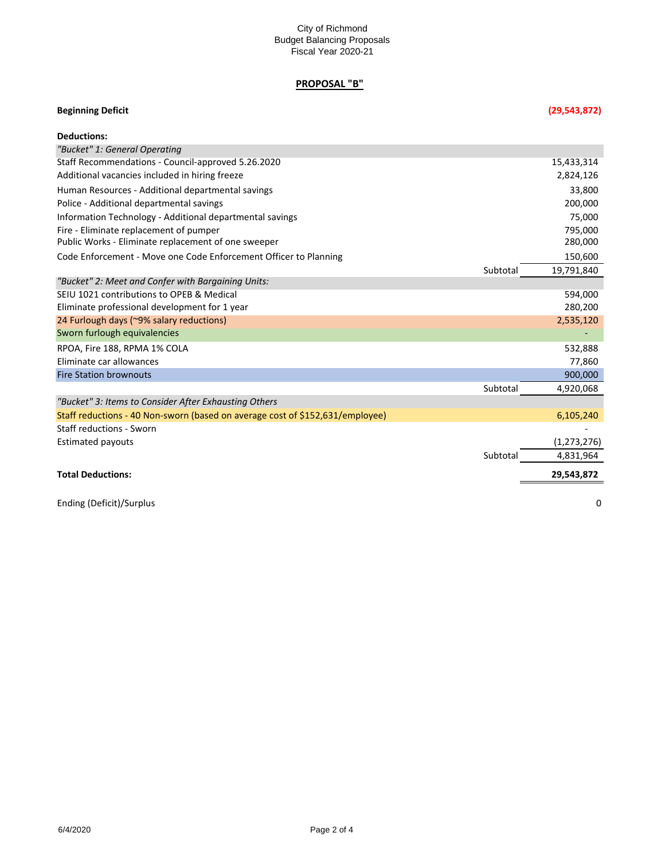### City of Richmond Budget Balancing Proposals Fiscal Year 2020-21

# **PROPOSAL "B"**

| <b>Beginning Deficit</b>                                                      | (29, 543, 872)         |
|-------------------------------------------------------------------------------|------------------------|
| <b>Deductions:</b>                                                            |                        |
| "Bucket" 1: General Operating                                                 |                        |
| Staff Recommendations - Council-approved 5.26.2020                            | 15,433,314             |
| Additional vacancies included in hiring freeze                                | 2,824,126              |
| Human Resources - Additional departmental savings                             | 33,800                 |
| Police - Additional departmental savings                                      | 200,000                |
| Information Technology - Additional departmental savings                      | 75,000                 |
| Fire - Eliminate replacement of pumper                                        | 795,000                |
| Public Works - Eliminate replacement of one sweeper                           | 280,000                |
| Code Enforcement - Move one Code Enforcement Officer to Planning              | 150,600                |
|                                                                               | Subtotal<br>19,791,840 |
| "Bucket" 2: Meet and Confer with Bargaining Units:                            |                        |
| SEIU 1021 contributions to OPEB & Medical                                     | 594,000                |
| Eliminate professional development for 1 year                                 | 280,200                |
| 24 Furlough days (~9% salary reductions)                                      | 2,535,120              |
| Sworn furlough equivalencies                                                  |                        |
| RPOA, Fire 188, RPMA 1% COLA                                                  | 532,888                |
| Eliminate car allowances                                                      | 77,860                 |
| <b>Fire Station brownouts</b>                                                 | 900,000                |
|                                                                               | Subtotal<br>4,920,068  |
| "Bucket" 3: Items to Consider After Exhausting Others                         |                        |
| Staff reductions - 40 Non-sworn (based on average cost of \$152,631/employee) | 6,105,240              |
| <b>Staff reductions - Sworn</b>                                               |                        |
| <b>Estimated payouts</b>                                                      | (1, 273, 276)          |
|                                                                               | Subtotal<br>4,831,964  |
| <b>Total Deductions:</b>                                                      | 29,543,872             |

Ending (Deficit)/Surplus 0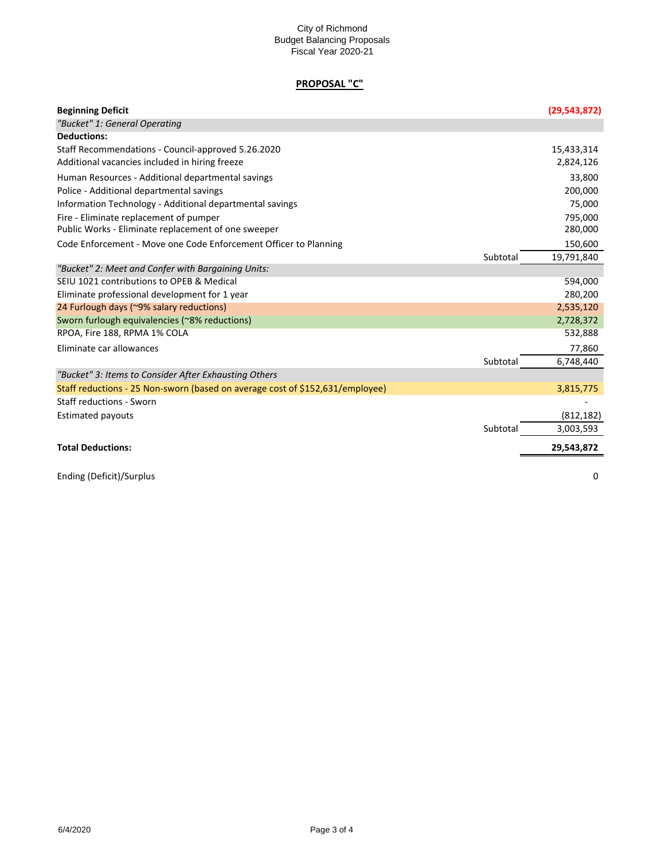### City of Richmond Budget Balancing Proposals Fiscal Year 2020-21

## **PROPOSAL "C"**

| <b>Beginning Deficit</b>                                                      |          | (29, 543, 872) |
|-------------------------------------------------------------------------------|----------|----------------|
| "Bucket" 1: General Operating                                                 |          |                |
| <b>Deductions:</b>                                                            |          |                |
| Staff Recommendations - Council-approved 5.26.2020                            |          | 15,433,314     |
| Additional vacancies included in hiring freeze                                |          | 2,824,126      |
| Human Resources - Additional departmental savings                             |          | 33,800         |
| Police - Additional departmental savings                                      |          | 200,000        |
| Information Technology - Additional departmental savings                      |          | 75,000         |
| Fire - Eliminate replacement of pumper                                        |          | 795,000        |
| Public Works - Eliminate replacement of one sweeper                           |          | 280,000        |
| Code Enforcement - Move one Code Enforcement Officer to Planning              |          | 150,600        |
|                                                                               | Subtotal | 19,791,840     |
| "Bucket" 2: Meet and Confer with Bargaining Units:                            |          |                |
| SEIU 1021 contributions to OPEB & Medical                                     |          | 594,000        |
| Eliminate professional development for 1 year                                 |          | 280,200        |
| 24 Furlough days (~9% salary reductions)                                      |          | 2,535,120      |
| Sworn furlough equivalencies (~8% reductions)                                 |          | 2,728,372      |
| RPOA, Fire 188, RPMA 1% COLA                                                  |          | 532,888        |
| Eliminate car allowances                                                      |          | 77,860         |
|                                                                               | Subtotal | 6,748,440      |
| "Bucket" 3: Items to Consider After Exhausting Others                         |          |                |
| Staff reductions - 25 Non-sworn (based on average cost of \$152,631/employee) |          | 3,815,775      |
| <b>Staff reductions - Sworn</b>                                               |          |                |
| <b>Estimated payouts</b>                                                      |          | (812, 182)     |
|                                                                               | Subtotal | 3,003,593      |
| <b>Total Deductions:</b>                                                      |          | 29,543,872     |
| Ending (Deficit)/Surplus                                                      |          | 0              |